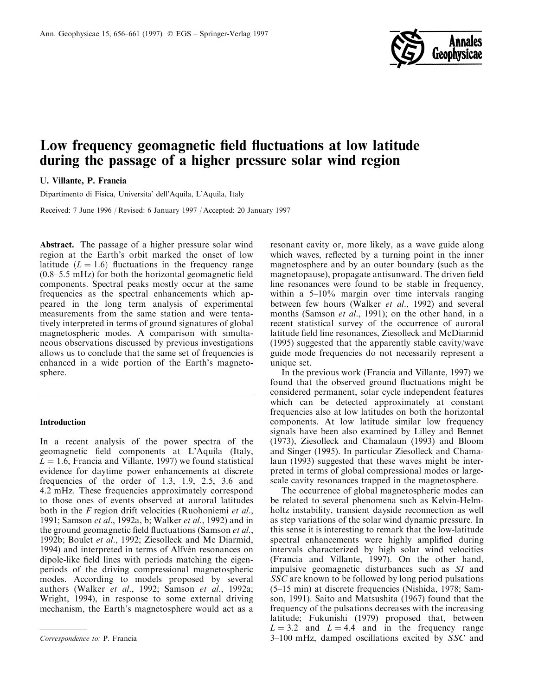

# Low frequency geomagnetic field fluctuations at low latitude during the passage of a higher pressure solar wind region

U. Villante, P. Francia

Dipartimento di Fisica, Universita' dell'Aquila, L'Aquila, Italy

Received: 7 June 1996 / Revised: 6 January 1997 / Accepted: 20 January 1997

Abstract. The passage of a higher pressure solar wind region at the Earth's orbit marked the onset of low latitude  $(L = 1.6)$  fluctuations in the frequency range  $(0.8-5.5 \text{ mHz})$  for both the horizontal geomagnetic field components. Spectral peaks mostly occur at the same frequencies as the spectral enhancements which appeared in the long term analysis of experimental measurements from the same station and were tentatively interpreted in terms of ground signatures of global magnetospheric modes. A comparison with simultaneous observations discussed by previous investigations allows us to conclude that the same set of frequencies is enhanced in a wide portion of the Earth's magnetosphere.

### Introduction

In a recent analysis of the power spectra of the geomagnetic field components at L'Aquila (Italy,  $L = 1.6$ , Francia and Villante, 1997) we found statistical evidence for daytime power enhancements at discrete frequencies of the order of 1.3, 1.9, 2.5, 3.6 and 4.2 mHz. These frequencies approximately correspond to those ones of events observed at auroral latitudes both in the F region drift velocities (Ruohoniemi et al., 1991; Samson et al., 1992a, b; Walker et al., 1992) and in the ground geomagnetic field fluctuations (Samson *et al.*, 1992b; Boulet et al., 1992; Ziesolleck and Mc Diarmid, 1994) and interpreted in terms of Alfvén resonances on dipole-like field lines with periods matching the eigenperiods of the driving compressional magnetospheric modes. According to models proposed by several authors (Walker et al., 1992; Samson et al., 1992a; Wright, 1994), in response to some external driving mechanism, the Earth's magnetosphere would act as a

resonant cavity or, more likely, as a wave guide along which waves, reflected by a turning point in the inner magnetosphere and by an outer boundary (such as the magnetopause), propagate antisunward. The driven field line resonances were found to be stable in frequency, within a  $5-10\%$  margin over time intervals ranging between few hours (Walker et al., 1992) and several months (Samson et al., 1991); on the other hand, in a recent statistical survey of the occurrence of auroral latitude field line resonances, Ziesolleck and McDiarmid (1995) suggested that the apparently stable cavity/wave guide mode frequencies do not necessarily represent a unique set.

In the previous work (Francia and Villante, 1997) we found that the observed ground fluctuations might be considered permanent, solar cycle independent features which can be detected approximately at constant frequencies also at low latitudes on both the horizontal components. At low latitude similar low frequency signals have been also examined by Lilley and Bennet (1973), Ziesolleck and Chamalaun (1993) and Bloom and Singer (1995). In particular Ziesolleck and Chamalaun (1993) suggested that these waves might be interpreted in terms of global compressional modes or largescale cavity resonances trapped in the magnetosphere.

The occurrence of global magnetospheric modes can be related to several phenomena such as Kelvin-Helmholtz instability, transient dayside reconnection as well as step variations of the solar wind dynamic pressure. In this sense it is interesting to remark that the low-latitude spectral enhancements were highly amplified during intervals characterized by high solar wind velocities (Francia and Villante, 1997). On the other hand, impulsive geomagnetic disturbances such as SI and SSC are known to be followed by long period pulsations (5±15 min) at discrete frequencies (Nishida, 1978; Samson, 1991). Saito and Matsushita (1967) found that the frequency of the pulsations decreases with the increasing latitude; Fukunishi (1979) proposed that, between  $L = 3.2$  and  $L = 4.4$  and in the frequency range Correspondence to: P. Francia 200 mHz, damped oscillations excited by SSC and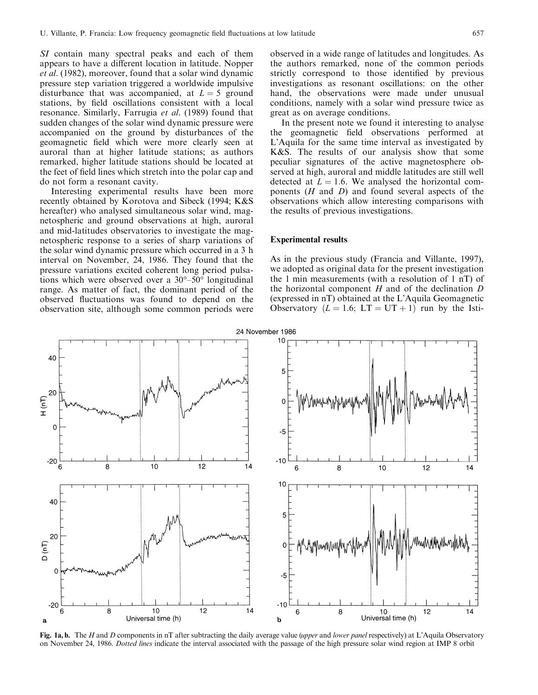SI contain many spectral peaks and each of them appears to have a different location in latitude. Nopper et al. (1982), moreover, found that a solar wind dynamic pressure step variation triggered a worldwide impulsive disturbance that was accompanied, at  $L = 5$  ground stations, by field oscillations consistent with a local resonance. Similarly, Farrugia et al. (1989) found that sudden changes of the solar wind dynamic pressure were accompanied on the ground by disturbances of the geomagnetic field which were more clearly seen at auroral than at higher latitude stations; as authors remarked, higher latitude stations should be located at the feet of field lines which stretch into the polar cap and do not form a resonant cavity.

Interesting experimental results have been more recently obtained by Korotova and Sibeck (1994; K&S hereafter) who analysed simultaneous solar wind, magnetospheric and ground observations at high, auroral and mid-latitudes observatories to investigate the magnetospheric response to a series of sharp variations of the solar wind dynamic pressure which occurred in a 3 h interval on November, 24, 1986. They found that the pressure variations excited coherent long period pulsations which were observed over a  $30^{\circ} - 50^{\circ}$  longitudinal range. As matter of fact, the dominant period of the observed fluctuations was found to depend on the observation site, although some common periods were

observed in a wide range of latitudes and longitudes. As the authors remarked, none of the common periods strictly correspond to those identified by previous investigations as resonant oscillations: on the other hand, the observations were made under unusual conditions, namely with a solar wind pressure twice as great as on average conditions.

In the present note we found it interesting to analyse the geomagnetic field observations performed at L'Aquila for the same time interval as investigated by K&S. The results of our analysis show that some peculiar signatures of the active magnetosphere observed at high, auroral and middle latitudes are still well detected at  $L = 1.6$ . We analysed the horizontal components  $(H \text{ and } D)$  and found several aspects of the observations which allow interesting comparisons with the results of previous investigations.

## Experimental results

As in the previous study (Francia and Villante, 1997), we adopted as original data for the present investigation the 1 min measurements (with a resolution of 1 nT) of the horizontal component  $H$  and of the declination  $D$ (expressed in nT) obtained at the L'Aquila Geomagnetic Observatory  $(L = 1.6; LT = UT + 1)$  run by the Isti-



Fig. 1a, b. The H and D components in nT after subtracting the daily average value (upper and lower panel respectively) at L'Aquila Observatory on November 24, 1986. Dotted lines indicate the interval associated with the passage of the high pressure solar wind region at IMP 8 orbit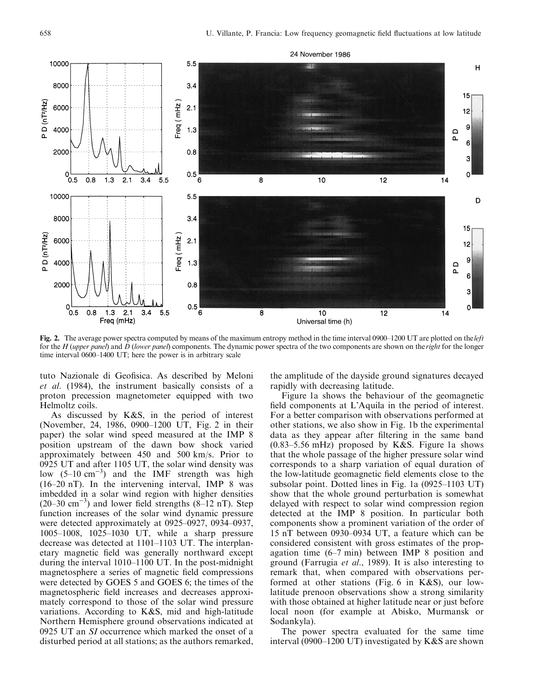

Fig. 2. The average power spectra computed by means of the maximum entropy method in the time interval 0900–1200 UT are plotted on the *left* for the  $H$  (upper panel) and  $D$  (lower panel) components. The dynamic power spectra of the two components are shown on the right for the longer time interval 0600-1400 UT; here the power is in arbitrary scale

tuto Nazionale di Geofisica. As described by Meloni et al. (1984), the instrument basically consists of a proton precession magnetometer equipped with two Helmoltz coils.

As discussed by K&S, in the period of interest (November, 24, 1986, 0900-1200 UT, Fig. 2 in their paper) the solar wind speed measured at the IMP 8 position upstream of the dawn bow shock varied approximately between 450 and 500 km/s. Prior to 0925 UT and after 1105 UT, the solar wind density was low  $(5-10 \text{ cm}^{-3})$  and the IMF strength was high  $(16-20 \text{ nT})$ . In the intervening interval, IMP 8 was imbedded in a solar wind region with higher densities  $(20-30 \text{ cm}^{-3})$  and lower field strengths  $(8-12 \text{ nT})$ . Step function increases of the solar wind dynamic pressure were detected approximately at  $0925-0927$ ,  $0934-0937$ , 1005-1008, 1025-1030 UT, while a sharp pressure decrease was detected at  $1101-1103$  UT. The interplanetary magnetic field was generally northward except during the interval  $1010-1100$  UT. In the post-midnight magnetosphere a series of magnetic field compressions were detected by GOES 5 and GOES 6; the times of the magnetospheric field increases and decreases approximately correspond to those of the solar wind pressure variations. According to K&S, mid and high-latitude Northern Hemisphere ground observations indicated at 0925 UT an SI occurrence which marked the onset of a disturbed period at all stations; as the authors remarked,

the amplitude of the dayside ground signatures decayed rapidly with decreasing latitude.

Figure 1a shows the behaviour of the geomagnetic field components at L'Aquila in the period of interest. For a better comparison with observations performed at other stations, we also show in Fig. 1b the experimental data as they appear after filtering in the same band  $(0.83-5.56$  mHz) proposed by K&S. Figure 1a shows that the whole passage of the higher pressure solar wind corresponds to a sharp variation of equal duration of the low-latitude geomagnetic field elements close to the subsolar point. Dotted lines in Fig. 1a  $(0925-1103 \text{ UT})$ show that the whole ground perturbation is somewhat delayed with respect to solar wind compression region detected at the IMP 8 position. In particular both components show a prominent variation of the order of 15 nT between  $0930-0934$  UT, a feature which can be considered consistent with gross estimates of the propagation time  $(6-7 \text{ min})$  between IMP 8 position and ground (Farrugia et al., 1989). It is also interesting to remark that, when compared with observations performed at other stations (Fig. 6 in K&S), our lowlatitude prenoon observations show a strong similarity with those obtained at higher latitude near or just before local noon (for example at Abisko, Murmansk or Sodankyla).

The power spectra evaluated for the same time interval (0900–1200 UT) investigated by  $K&S$  are shown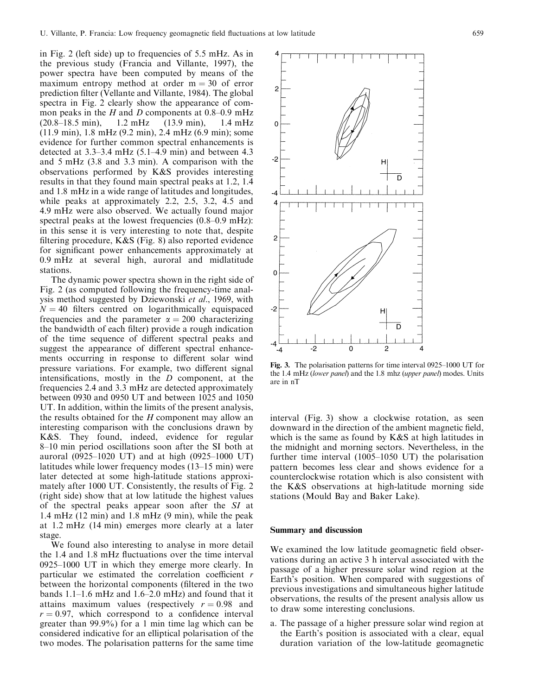in Fig. 2 (left side) up to frequencies of 5.5 mHz. As in the previous study (Francia and Villante, 1997), the power spectra have been computed by means of the maximum entropy method at order  $m = 30$  of error prediction filter (Vellante and Villante, 1984). The global spectra in Fig. 2 clearly show the appearance of common peaks in the H and D components at  $0.8-0.9$  mHz (20.8±18.5 min), 1.2 mHz (13.9 min), 1.4 mHz (11.9 min), 1.8 mHz (9.2 min), 2.4 mHz (6.9 min); some evidence for further common spectral enhancements is detected at  $3.3-3.4$  mHz (5.1-4.9 min) and between 4.3 and 5 mHz (3.8 and 3.3 min). A comparison with the observations performed by K&S provides interesting results in that they found main spectral peaks at 1.2, 1.4 and 1.8 mHz in a wide range of latitudes and longitudes, while peaks at approximately 2.2, 2.5, 3.2, 4.5 and 4.9 mHz were also observed. We actually found major spectral peaks at the lowest frequencies  $(0.8-0.9 \text{ mHz})$ : in this sense it is very interesting to note that, despite filtering procedure,  $K&S$  (Fig. 8) also reported evidence for significant power enhancements approximately at 0.9 mHz at several high, auroral and midlatitude stations.

The dynamic power spectra shown in the right side of Fig. 2 (as computed following the frequency-time analysis method suggested by Dziewonski et al., 1969, with  $N = 40$  filters centred on logarithmically equispaced frequencies and the parameter  $\alpha = 200$  characterizing the bandwidth of each filter) provide a rough indication of the time sequence of different spectral peaks and suggest the appearance of different spectral enhancements occurring in response to different solar wind pressure variations. For example, two different signal intensifications, mostly in the  $D$  component, at the frequencies 2.4 and 3.3 mHz are detected approximately between 0930 and 0950 UT and between 1025 and 1050 UT. In addition, within the limits of the present analysis, the results obtained for the  $H$  component may allow an interesting comparison with the conclusions drawn by K&S. They found, indeed, evidence for regular 8–10 min period oscillations soon after the SI both at auroral (0925 $-1020$  UT) and at high (0925 $-1000$  UT) latitudes while lower frequency modes  $(13-15 \text{ min})$  were later detected at some high-latitude stations approximately after 1000 UT. Consistently, the results of Fig. 2 (right side) show that at low latitude the highest values of the spectral peaks appear soon after the SI at 1.4 mHz (12 min) and 1.8 mHz (9 min), while the peak at 1.2 mHz (14 min) emerges more clearly at a later stage.

We found also interesting to analyse in more detail the 1.4 and 1.8 mHz fluctuations over the time interval  $0925-1000$  UT in which they emerge more clearly. In particular we estimated the correlation coefficient  $r$ between the horizontal components (filtered in the two bands  $1.1-1.6$  mHz and  $1.6-2.0$  mHz) and found that it attains maximum values (respectively  $r = 0.98$  and  $r = 0.97$ , which correspond to a confidence interval greater than 99.9%) for a 1 min time lag which can be considered indicative for an elliptical polarisation of the two modes. The polarisation patterns for the same time



Fig. 3. The polarisation patterns for time interval  $0925-1000$  UT for the 1.4 mHz (lower panel) and the 1.8 mhz (upper panel) modes. Units are in nT

interval (Fig. 3) show a clockwise rotation, as seen downward in the direction of the ambient magnetic field, which is the same as found by K&S at high latitudes in the midnight and morning sectors. Nevertheless, in the further time interval  $(1005-1050 \text{ UT})$  the polarisation pattern becomes less clear and shows evidence for a counterclockwise rotation which is also consistent with the K&S observations at high-latitude morning side stations (Mould Bay and Baker Lake).

### Summary and discussion

We examined the low latitude geomagnetic field observations during an active 3 h interval associated with the passage of a higher pressure solar wind region at the Earth's position. When compared with suggestions of previous investigations and simultaneous higher latitude observations, the results of the present analysis allow us to draw some interesting conclusions.

a. The passage of a higher pressure solar wind region at the Earth's position is associated with a clear, equal duration variation of the low-latitude geomagnetic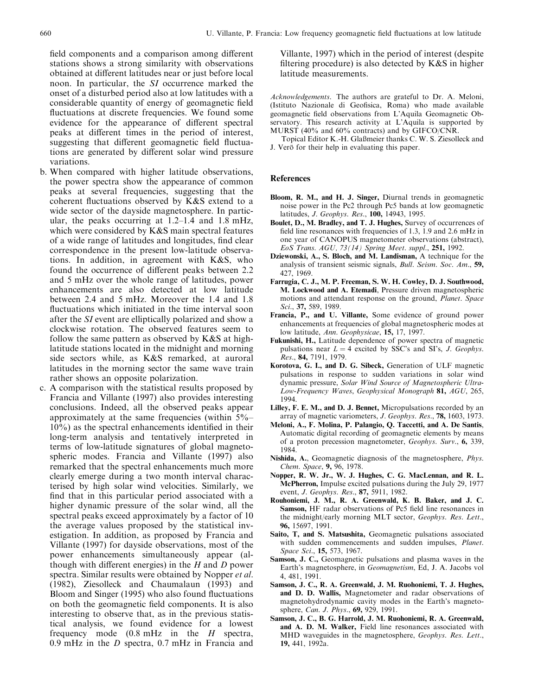field components and a comparison among different stations shows a strong similarity with observations obtained at different latitudes near or just before local noon. In particular, the SI occurrence marked the onset of a disturbed period also at low latitudes with a considerable quantity of energy of geomagnetic field fluctuations at discrete frequencies. We found some evidence for the appearance of different spectral peaks at different times in the period of interest, suggesting that different geomagnetic field fluctuations are generated by different solar wind pressure variations.

- b. When compared with higher latitude observations, the power spectra show the appearance of common peaks at several frequencies, suggesting that the coherent fluctuations observed by  $K&S$  extend to a wide sector of the dayside magnetosphere. In particular, the peaks occurring at  $1.2-1.4$  and  $1.8$  mHz, which were considered by K&S main spectral features of a wide range of latitudes and longitudes, find clear correspondence in the present low-latitude observations. In addition, in agreement with K&S, who found the occurrence of different peaks between 2.2 and 5 mHz over the whole range of latitudes, power enhancements are also detected at low latitude between 2.4 and 5 mHz. Moreover the 1.4 and 1.8 fluctuations which initiated in the time interval soon after the SI event are elliptically polarized and show a clockwise rotation. The observed features seem to follow the same pattern as observed by K&S at highlatitude stations located in the midnight and morning side sectors while, as K&S remarked, at auroral latitudes in the morning sector the same wave train rather shows an opposite polarization.
- c. A comparison with the statistical results proposed by Francia and Villante (1997) also provides interesting conclusions. Indeed, all the observed peaks appear approximately at the same frequencies (within  $5\%$ - $10\%$ ) as the spectral enhancements identified in their long-term analysis and tentatively interpreted in terms of low-latitude signatures of global magnetospheric modes. Francia and Villante (1997) also remarked that the spectral enhancements much more clearly emerge during a two month interval characterised by high solar wind velocities. Similarly, we find that in this particular period associated with a higher dynamic pressure of the solar wind, all the spectral peaks exceed approximately by a factor of 10 the average values proposed by the statistical investigation. In addition, as proposed by Francia and Villante (1997) for dayside observations, most of the power enhancements simultaneously appear (although with different energies) in the  $H$  and  $D$  power spectra. Similar results were obtained by Nopper et al. (1982), Ziesolleck and Chaumalaun (1993) and Bloom and Singer (1995) who also found fluctuations on both the geomagnetic field components. It is also interesting to observe that, as in the previous statistical analysis, we found evidence for a lowest frequency mode  $(0.8 \text{ mHz}$  in the H spectra, 0.9 mHz in the D spectra, 0.7 mHz in Francia and

Villante, 1997) which in the period of interest (despite filtering procedure) is also detected by  $K&S$  in higher latitude measurements.

Acknowledgements. The authors are grateful to Dr. A. Meloni, (Istituto Nazionale di Geofisica, Roma) who made available geomagnetic field observations from L'Aquila Geomagnetic Observatory. This research activity at L'Aquila is supported by MURST (40% and 60% contracts) and by GIFCO/CNR.

Topical Editor K.-H. Glaßmeier thanks C. W. S. Ziesolleck and J. Verö for their help in evaluating this paper.

## References

- Bloom, R. M., and H. J. Singer, Diurnal trends in geomagnetic noise power in the Pc2 through Pc5 bands at low geomagnetic latitudes, J. Geophys. Res., 100, 14943, 1995.
- Boulet, D., M. Bradley, and T. J. Hughes, Survey of occurrences of field line resonances with frequencies of 1.3, 1.9 and 2.6 mHz in one year of CANOPUS magnetometer observations (abstract), EoS Trans. AGU, 73(14) Spring Meet. suppl., 251, 1992.
- Dziewonski, A., S. Bloch, and M. Landisman, A technique for the analysis of transient seismic signals, Bull. Seism. Soc. Am., 59, 427, 1969.
- Farrugia, C. J., M. P. Freeman, S. W. H. Cowley, D. J. Southwood, M. Lockwood and A. Etemadi, Pressure driven magnetospheric motions and attendant response on the ground, Planet. Space Sci., 37, 589, 1989.
- Francia, P., and U. Villante, Some evidence of ground power enhancements at frequencies of global magnetospheric modes at low latitude, Ann. Geophysicae, 15, 17, 1997.
- Fukunishi, H., Latitude dependence of power spectra of magnetic pulsations near  $L = 4$  excited by SSC's and SI's, J. Geophys. Res., 84, 7191, 1979.
- Korotova, G. I., and D. G. Sibeck, Generation of ULF magnetic pulsations in response to sudden variations in solar wind dynamic pressure, Solar Wind Source of Magnetospheric Ultra-Low-Frequency Waves, Geophysical Monograph 81, AGU, 265, 1994.
- Lilley, F. E. M., and D. J. Bennet, Micropulsations recorded by an array of magnetic variometers, J. Geophys. Res., 78, 1603, 1973.
- Meloni, A., F. Molina, P. Palangio, Q. Taccetti, and A. De Santis, Automatic digital recording of geomagnetic elements by means of a proton precession magnetometer, Geophys. Surv., 6, 339, 1984.
- Nishida, A., Geomagnetic diagnosis of the magnetosphere, Phys. Chem. Space, 9, 96, 1978.
- Nopper, R. W. Jr., W. J. Hughes, C. G. MacLennan, and R. L. McPherron, Impulse excited pulsations during the July 29, 1977 event, J. Geophys. Res., 87, 5911, 1982.
- Rouhoniemi, J. M., R. A. Greenwald, K. B. Baker, and J. C. Samson, HF radar observations of Pc5 field line resonances in the midnight/early morning MLT sector, Geophys. Res. Lett., 96, 15697, 1991.
- Saito, T, and S. Matsushita, Geomagnetic pulsations associated with sudden commencements and sudden impulses, Planet. Space Sci., **15,** 573, 1967.
- Samson, J. C., Geomagnetic pulsations and plasma waves in the Earth's magnetosphere, in Geomagnetism, Ed, J. A. Jacobs vol 4, 481, 1991.
- Samson, J. C., R. A. Greenwald, J. M. Ruohoniemi, T. J. Hughes, and D. D. Wallis, Magnetometer and radar observations of magnetohydrodynamic cavity modes in the Earth's magnetosphere, *Can. J. Phys.*, **69**, 929, 1991.
- Samson, J. C., B. G. Harrold, J. M. Ruohoniemi, R. A. Greenwald, and A. D. M. Walker, Field line resonances associated with MHD waveguides in the magnetosphere, Geophys. Res. Lett., 19, 441, 1992a.